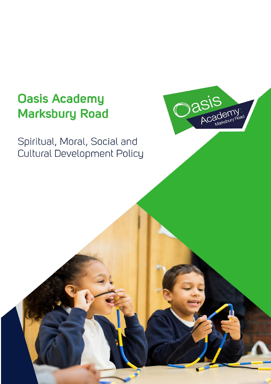# **Oasis Academy Marksbury Road**

Spiritual, Moral, Social and Cultural Development Policy

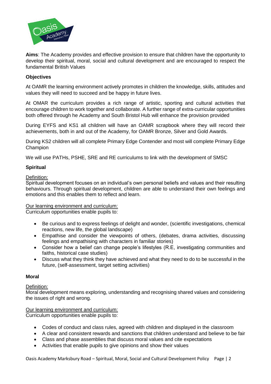

**Aims**: The Academy provides and effective provision to ensure that children have the opportunity to develop their spiritual, moral, social and cultural development and are encouraged to respect the fundamental British Values

# **Objectives**

At OAMR the learning environment actively promotes in children the knowledge, skills, attitudes and values they will need to succeed and be happy in future lives.

At OMAR the curriculum provides a rich range of artistic, sporting and cultural activities that encourage children to work together and collaborate. A further range of extra-curricular opportunities both offered through he Academy and South Bristol Hub will enhance the provision provided

During EYFS and KS1 all children will have an OAMR scrapbook where they will record their achievements, both in and out of the Academy, for OAMR Bronze, Silver and Gold Awards.

During KS2 children will all complete Primary Edge Contender and most will complete Primary Edge Champion

We will use PATHs, PSHE, SRE and RE curriculums to link with the development of SMSC

#### **Spiritual**

Definition:

Spiritual development focuses on an individual's own personal beliefs and values and their resulting behaviours. Through spiritual development, children are able to understand their own feelings and emotions and this enables them to reflect and learn.

## Our learning environment and curriculum:

Curriculum opportunities enable pupils to:

- Be curious and to express feelings of delight and wonder, (scientific investigations, chemical reactions, new life, the global landscape)
- Empathise and consider the viewpoints of others, (debates, drama activities, discussing feelings and empathising with characters in familiar stories)
- Consider how a belief can change people's lifestyles (R.E, investigating communities and faiths, historical case studies)
- Discuss what they think they have achieved and what they need to do to be successful in the future, (self-assessment, target setting activities)

#### **Moral**

#### Definition:

Moral development means exploring, understanding and recognising shared values and considering the issues of right and wrong.

## Our learning environment and curriculum:

Curriculum opportunities enable pupils to:

- Codes of conduct and class rules, agreed with children and displayed in the classroom
- A clear and consistent rewards and sanctions that children understand and believe to be fair
- Class and phase assemblies that discuss moral values and cite expectations
- Activities that enable pupils to give opinions and show their values

Oasis Academy Marksbury Road – Spiritual, Moral, Social and Cultural Development Policy Page | 2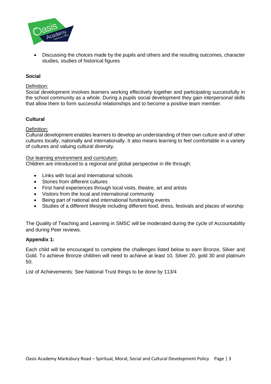

 Discussing the choices made by the pupils and others and the resulting outcomes, character studies, studies of historical figures

# **Social**

#### Definition:

Social development involves learners working effectively together and participating successfully in the school community as a whole. During a pupils social development they gain interpersonal skills that allow them to form successful relationships and to become a positive team member.

# **Cultural**

#### Definition:

Cultural development enables learners to develop an understanding of their own culture and of other cultures locally, nationally and internationally. It also means learning to feel comfortable in a variety of cultures and valuing cultural diversity.

#### Our learning environment and curriculum:

Children are introduced to a regional and global perspective in life through:

- Links with local and international schools
- Stories from different cultures
- First hand experiences through local visits, theatre, art and artists
- Visitors from the local and international community
- Being part of national and international fundraising events
- Studies of a different lifestyle including different food, dress, festivals and places of worship

The Quality of Teaching and Learning in SMSC will be moderated during the cycle of Accountability and during Peer reviews.

#### **Appendix 1:**

Each child will be encouraged to complete the challenges listed below to earn Bronze, Silver and Gold. To achieve Bronze children will need to achieve at least 10, Silver 20, gold 30 and platinum 50.

List of Achievements: See National Trust things to be done by 113/4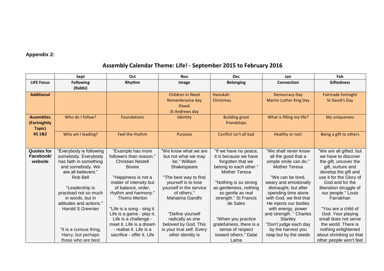# **Appendix 2:**

# **Assembly Calendar Theme: Life! - September 2015 to February 2016**

|                   | Sept                    | Oct                        | <b>Nov</b>               | <b>Dec</b>               | Jan                           | Feb                     |
|-------------------|-------------------------|----------------------------|--------------------------|--------------------------|-------------------------------|-------------------------|
| <b>LIFE Focus</b> | <b>Following</b>        | Rhythm                     | Image                    | <b>Belonging</b>         | <b>Connection</b>             | <b>Giftedness</b>       |
|                   | (Rabbi)                 |                            |                          |                          |                               |                         |
| <b>Additional</b> |                         |                            | Children in Need         | Hanukah                  | <b>Democracy Day</b>          | Fairtrade fortnight     |
|                   |                         |                            | Remembrance day          | Christmas                | <b>Martin Luther King Day</b> | St David's Day          |
|                   |                         |                            | <b>Diwali</b>            |                          |                               |                         |
|                   |                         |                            | St Andrews day           |                          |                               |                         |
| <b>Assemblies</b> | Who do I follow?        | <b>Foundations</b>         | Identity                 | <b>Building great</b>    | What is filling my life?      | My uniqueness           |
| (Fortnightly      |                         |                            |                          | friendships              |                               |                         |
| Topic)            |                         |                            |                          |                          |                               |                         |
| <b>KS1&amp;2</b>  | Who am I leading?       | Feel the rhythm            | Purpose                  | Conflict isn't all bad   | Healthy or not!               | Being a gift to others  |
|                   |                         |                            |                          |                          |                               |                         |
|                   |                         |                            |                          |                          |                               |                         |
| <b>Quotes for</b> | "Everybody is following | "Example has more          | "We know what we are     | "If we have no peace,    | "We shall never know          | "We are all gifted, but |
| Facebook/         | somebody. Everybody     | followers than reason."    | but not what we may      | it is because we have    | all the good that a           | we have to discover     |
| website           | has faith in something  | <b>Christian Nestell</b>   | be." William             | forgotten that we        | simple smile can do."         | the gift, uncover the   |
|                   | and somebody. We        | <b>Bovee</b>               | Shakespeare              | belong to each other."   | <b>Mother Teresa</b>          | gift, nurture and       |
|                   | are all believers."     |                            |                          | <b>Mother Teresa</b>     |                               | develop the gift and    |
|                   | Rob Bell                | "Happiness is not a        | "The best way to find    |                          | "We can be tired,             | use it for the Glory of |
|                   |                         | matter of intensity but    | yourself is to lose      | "Nothing is so strong    | weary and emotionally         | God and for the         |
|                   | "Leadership is          | of balance, order,         | yourself in the service  | as gentleness, nothing   | distraught, but after         | liberation struggle of  |
|                   | practised not so much   | rhythm and harmony."       | of others."              | so gentle as real        | spending time alone           | our people." Louis      |
|                   | in words, but in        | <b>Thoms Merton</b>        | Mahatma Gandhi           | strength." St Francis    | with God, we find that        | Farrakhan               |
|                   | attitudes and actions." |                            |                          | de Sales                 | He injects our bodies         |                         |
|                   | Harold S Greenan        | "Life is a song - sing it. |                          |                          | with energy, power            | "You are a child of     |
|                   |                         | Life is a game - play it.  | "Define yourself         |                          | and strength. " Charles       | God. Your playing       |
|                   |                         | Life is a challenge -      | radically as one         | "When you practice       | Stanley                       | small does not serve    |
|                   |                         | meet it. Life is a dream   | beloved by God. This     | gratefulness, there is a | "Don't judge each day         | the world. There is     |
|                   | "It is a curious thing, | - realise it. Life is a    | is your true self. Every | sense of respect         | by the harvest you            | nothing enlightened     |
|                   | Harry, but perhaps      | sacrifice - offer it. Life | other identity is        | toward others." Dalai    | reap but by the seeds         | about shrinking so that |
|                   | those who are best      |                            |                          | Lama                     |                               | other people won't feel |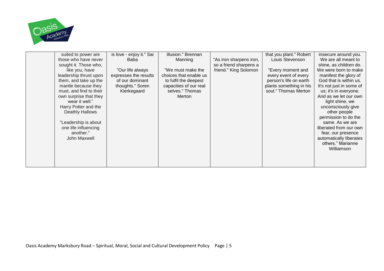

| suited to power are     | is love - enjoy it." Sai | illusion." Brennan     |                         | that you plant." Robert | insecure around you.     |
|-------------------------|--------------------------|------------------------|-------------------------|-------------------------|--------------------------|
| those who have never    | Baba                     | Manning                | "As iron sharpens iron, | Louis Stevenson         | We are all meant to      |
| sought it. Those who,   |                          |                        | so a friend sharpens a  |                         | shine, as children do.   |
| like you, have          | "Our life always         | "We must make the      | friend." King Solomon   | "Every moment and       | We were born to make     |
| leadership thrust upon  | expresses the results    | choices that enable us |                         | every event of every    | manifest the glory of    |
| them, and take up the   | of our dominant          | to fulfil the deepest  |                         | person's life on earth  | God that is within us.   |
| mantle because they     | thoughts." Soren         | capacities of our real |                         | plants something in his | It's not just in some of |
| must, and find to their | Kierkegaard              | selves." Thomas        |                         | soul." Thomas Merton    | us; it's in everyone.    |
| own surprise that they  |                          | Merton                 |                         |                         | And as we let our own    |
| wear it well."          |                          |                        |                         |                         | light shine, we          |
| Harry Potter and the    |                          |                        |                         |                         | unconsciously give       |
| <b>Deathly Hallows</b>  |                          |                        |                         |                         | other people             |
|                         |                          |                        |                         |                         | permission to do the     |
| "Leadership is about    |                          |                        |                         |                         | same. As we are          |
| one life influencing    |                          |                        |                         |                         | liberated from our own   |
| another."               |                          |                        |                         |                         | fear, our presence       |
| John Maxwell            |                          |                        |                         |                         | automatically liberates  |
|                         |                          |                        |                         |                         | others." Marianne        |
|                         |                          |                        |                         |                         | Williamson               |
|                         |                          |                        |                         |                         |                          |
|                         |                          |                        |                         |                         |                          |
|                         |                          |                        |                         |                         |                          |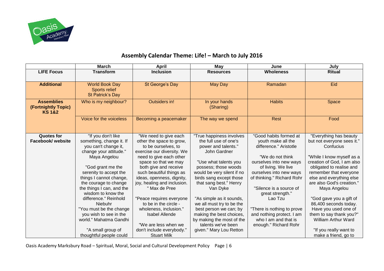

# **Assembly Calendar Theme: Life! – March to July 2016**

|                                                               | <b>March</b>                                    | <b>April</b>                                      | May                                               | June                                          | July                                                   |
|---------------------------------------------------------------|-------------------------------------------------|---------------------------------------------------|---------------------------------------------------|-----------------------------------------------|--------------------------------------------------------|
| <b>LIFE Focus</b>                                             | <b>Transform</b>                                | <b>Inclusion</b>                                  | <b>Resources</b>                                  | <b>Wholeness</b>                              | <b>Ritual</b>                                          |
| <b>Additional</b>                                             | <b>World Book Day</b>                           | St George's Day                                   | May Day                                           | Ramadan                                       | Eid                                                    |
|                                                               | <b>Sports relief</b><br>St Patrick's Day        |                                                   |                                                   |                                               |                                                        |
| <b>Assemblies</b><br>(Fortnightly Topic)<br><b>KS 1&amp;2</b> | Who is my neighbour?                            | Outsiders in!                                     | In your hands<br>(Sharing)                        | <b>Habits</b>                                 | Space                                                  |
|                                                               | Voice for the voiceless                         | Becoming a peacemaker                             | The way we spend                                  | Rest                                          | Food                                                   |
| <b>Quotes for</b><br>Facebook/ website                        | "If you don't like<br>something, change it. If  | "We need to give each<br>other the space to grow, | "True happiness involves<br>the full use of one's | "Good habits formed at<br>youth make all the  | "Everything has beauty<br>but not everyone sees it."   |
|                                                               | you can't change it,                            | to be ourselves, to                               | power and talents."                               | difference." Aristotle                        | Confucius                                              |
|                                                               | change your attitude."                          | exercise our diversity. We                        | John Gardner                                      |                                               |                                                        |
|                                                               | Maya Angelou                                    | need to give each other                           |                                                   | "We do not think                              | "While I know myself as a                              |
|                                                               | "God grant me the                               | space so that we may<br>both give and receive     | "Use what talents you<br>possess; those woods     | ourselves into new ways<br>of living. We live | creation of God, I am also<br>obligated to realise and |
|                                                               | serenity to accept the                          | such beautiful things as                          | would be very silent if no                        | ourselves into new ways                       | remember that everyone                                 |
|                                                               | things I cannot change,                         | ideas, openness, dignity,                         | birds sang except those                           | of thinking." Richard Rohr                    | else and everything else                               |
|                                                               | the courage to change                           | joy, healing and inclusion.                       | that sang best." Henry                            |                                               | are also God's creation."                              |
|                                                               | the things I can, and the<br>wisdom to know the | " Max de Pree                                     | Van Dyke                                          | "Silence is a source of<br>great strength."   | Maya Angelou                                           |
|                                                               | difference." Reinhold                           | "Peace requires everyone                          | "As simple as it sounds,                          | Lao Tzu                                       | "God gave you a gift of                                |
|                                                               | Niebuhr                                         | to be in the circle -                             | we all must try to be the                         |                                               | 86,400 seconds today.                                  |
|                                                               | "You must be the change                         | wholeness, inclusion."                            | best person we can; by                            | "There is nothing to prove                    | Have you used one of                                   |
|                                                               | you wish to see in the                          | <b>Isabel Allende</b>                             | making the best choices,                          | and nothing protect. I am                     | them to say thank you?"                                |
|                                                               | world." Mahatma Gandhi                          |                                                   | by making the most of the                         | who I am and that is                          | <b>William Arthur Ward</b>                             |
|                                                               | "A small group of                               | "We are less when we<br>don't include everybody." | talents we've been<br>given." Mary Lou Retton     | enough." Richard Rohr                         | "If you really want to                                 |
|                                                               | thoughtful people could                         | <b>Stuart Milk</b>                                |                                                   |                                               | make a friend, go to                                   |

Oasis Academy Marksbury Road – Spiritual, Moral, Social and Cultural Development Policy Page | 6